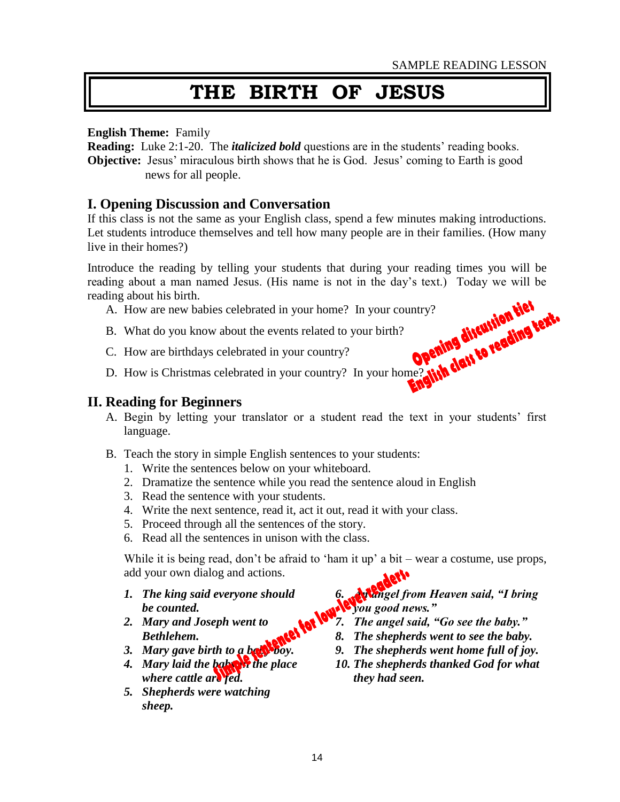# **THE BIRTH OF JESUS**

#### **English Theme:** Family

**Reading:** Luke 2:1-20. The *italicized bold* questions are in the students' reading books. **Objective:** Jesus' miraculous birth shows that he is God. Jesus' coming to Earth is good news for all people.

### **I. Opening Discussion and Conversation**

If this class is not the same as your English class, spend a few minutes making introductions. Let students introduce themselves and tell how many people are in their families. (How many live in their homes?)

Introduce the reading by telling your students that during your reading times you will be reading about a man named Jesus. (His name is not in the day's text.) Today we will be reading about his birth.<br>
A. How are new babies celebrated in your home? In your country?<br>
B. What do you know about the events related reading about his birth.

- A. How are new babies celebrated in your home? In your country?
- B. What do you know about the events related to your birth?
- C. How are birthdays celebrated in your country?
- D. How is Christmas celebrated in your country? In your home?

### **II. Reading for Beginners**

- A. Begin by letting your translator or a student read the text in your students' first language.
- B. Teach the story in simple English sentences to your students:
	- 1. Write the sentences below on your whiteboard.
	- 2. Dramatize the sentence while you read the sentence aloud in English
	- 3. Read the sentence with your students.
	- 4. Write the next sentence, read it, act it out, read it with your class.
	- 5. Proceed through all the sentences of the story.
	- 6. Read all the sentences in unison with the class.

While it is being read, don't be afraid to 'ham it up' a bit – wear a costume, use props, add your own dialog and actions.

- *1. The king said everyone should be counted.*
- *2. Mary and Joseph went to Bethlehem.*
- *3. Mary gave birth to a baby boy.*
- *4. Mary laid the baby in the place where cattle are fed.*
- *5. Shepherds were watching sheep.*

*6. An angel from Heaven said, "I bring you good news."*<br>*you good news."* 

- *7. The angel said, "Go see the baby."*
- *8. The shepherds went to see the baby.*
- *9. The shepherds went home full of joy.*
- *10. The shepherds thanked God for what they had seen.*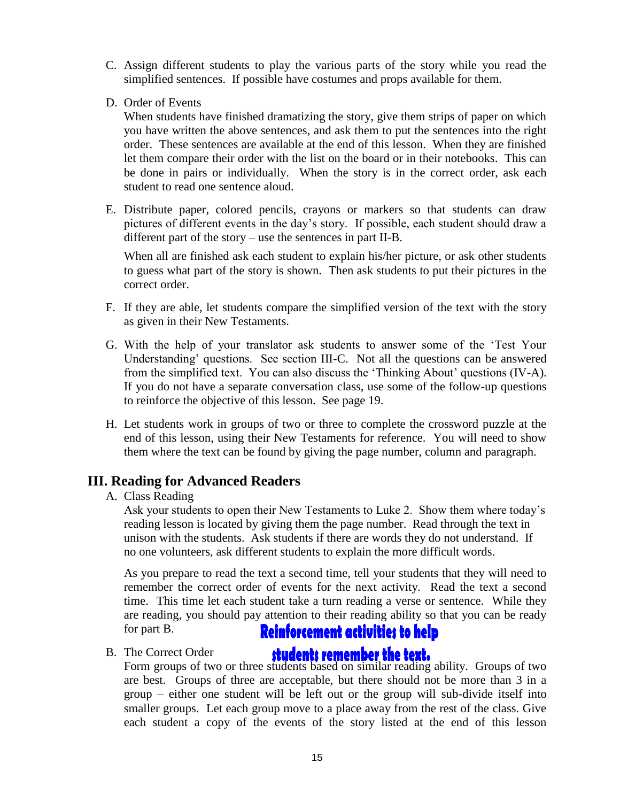- C. Assign different students to play the various parts of the story while you read the simplified sentences. If possible have costumes and props available for them.
- D. Order of Events

When students have finished dramatizing the story, give them strips of paper on which you have written the above sentences, and ask them to put the sentences into the right order. These sentences are available at the end of this lesson. When they are finished let them compare their order with the list on the board or in their notebooks. This can be done in pairs or individually. When the story is in the correct order, ask each student to read one sentence aloud.

E. Distribute paper, colored pencils, crayons or markers so that students can draw pictures of different events in the day's story. If possible, each student should draw a different part of the story – use the sentences in part II-B.

When all are finished ask each student to explain his/her picture, or ask other students to guess what part of the story is shown. Then ask students to put their pictures in the correct order.

- F. If they are able, let students compare the simplified version of the text with the story as given in their New Testaments.
- G. With the help of your translator ask students to answer some of the 'Test Your Understanding' questions. See section III-C. Not all the questions can be answered from the simplified text. You can also discuss the 'Thinking About' questions (IV-A). If you do not have a separate conversation class, use some of the follow-up questions to reinforce the objective of this lesson. See page 19.
- H. Let students work in groups of two or three to complete the crossword puzzle at the end of this lesson, using their New Testaments for reference. You will need to show them where the text can be found by giving the page number, column and paragraph.

## **III. Reading for Advanced Readers**

#### A. Class Reading

Ask your students to open their New Testaments to Luke 2. Show them where today's reading lesson is located by giving them the page number. Read through the text in unison with the students. Ask students if there are words they do not understand. If no one volunteers, ask different students to explain the more difficult words.

As you prepare to read the text a second time, tell your students that they will need to remember the correct order of events for the next activity. Read the text a second time. This time let each student take a turn reading a verse or sentence. While they are reading, you should pay attention to their reading ability so that you can be ready for part B. **Reinforcement activities to help** 

B. The Correct Order

The Correct Order<br>Form groups of two or three students based on similar reading ability. Groups of two are best. Groups of three are acceptable, but there should not be more than 3 in a group – either one student will be left out or the group will sub-divide itself into smaller groups. Let each group move to a place away from the rest of the class. Give each student a copy of the events of the story listed at the end of this lesson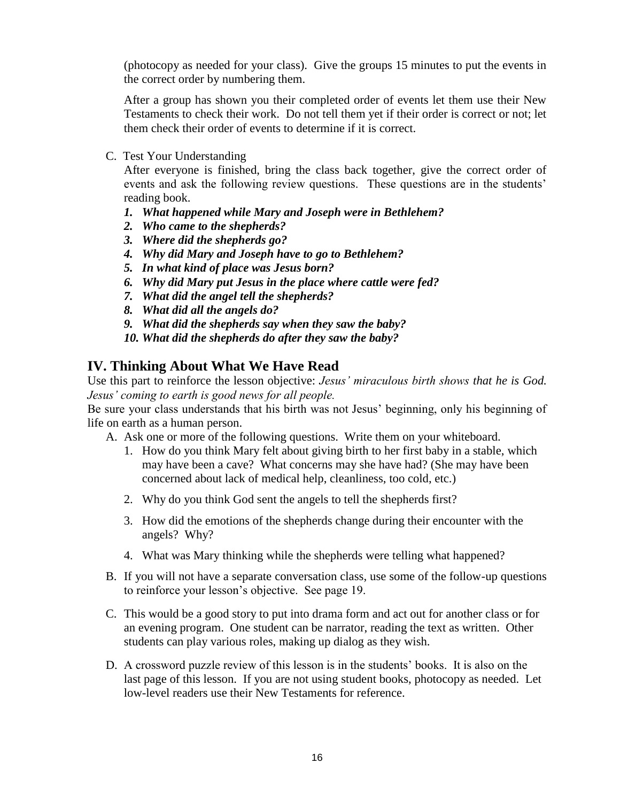(photocopy as needed for your class). Give the groups 15 minutes to put the events in the correct order by numbering them.

After a group has shown you their completed order of events let them use their New Testaments to check their work. Do not tell them yet if their order is correct or not; let them check their order of events to determine if it is correct.

C. Test Your Understanding

After everyone is finished, bring the class back together, give the correct order of events and ask the following review questions. These questions are in the students' reading book.

- *1. What happened while Mary and Joseph were in Bethlehem?*
- *2. Who came to the shepherds?*
- *3. Where did the shepherds go?*
- *4. Why did Mary and Joseph have to go to Bethlehem?*
- *5. In what kind of place was Jesus born?*
- *6. Why did Mary put Jesus in the place where cattle were fed?*
- *7. What did the angel tell the shepherds?*
- *8. What did all the angels do?*
- *9. What did the shepherds say when they saw the baby?*
- *10. What did the shepherds do after they saw the baby?*

## **IV. Thinking About What We Have Read**

Use this part to reinforce the lesson objective: *Jesus' miraculous birth shows that he is God. Jesus' coming to earth is good news for all people.*

Be sure your class understands that his birth was not Jesus' beginning, only his beginning of life on earth as a human person.

A. Ask one or more of the following questions. Write them on your whiteboard.

- 1. How do you think Mary felt about giving birth to her first baby in a stable, which may have been a cave? What concerns may she have had? (She may have been concerned about lack of medical help, cleanliness, too cold, etc.)
- 2. Why do you think God sent the angels to tell the shepherds first?
- 3. How did the emotions of the shepherds change during their encounter with the angels? Why?
- 4. What was Mary thinking while the shepherds were telling what happened?
- B. If you will not have a separate conversation class, use some of the follow-up questions to reinforce your lesson's objective. See page 19.
- C. This would be a good story to put into drama form and act out for another class or for an evening program. One student can be narrator, reading the text as written. Other students can play various roles, making up dialog as they wish.
- D. A crossword puzzle review of this lesson is in the students' books. It is also on the last page of this lesson. If you are not using student books, photocopy as needed. Let low-level readers use their New Testaments for reference.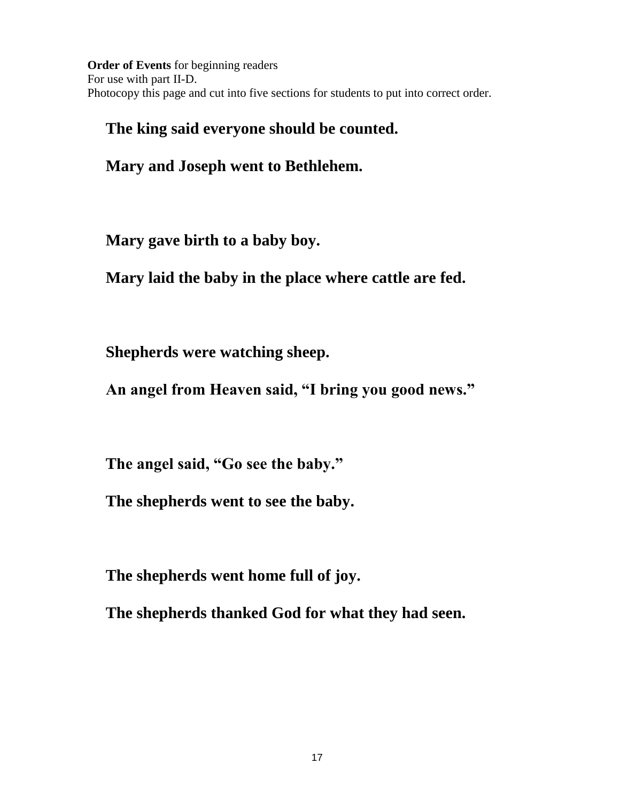**Order of Events** for beginning readers For use with part II-D. Photocopy this page and cut into five sections for students to put into correct order.

## **The king said everyone should be counted.**

**Mary and Joseph went to Bethlehem.**

**Mary gave birth to a baby boy.**

**Mary laid the baby in the place where cattle are fed.**

**Shepherds were watching sheep.**

**An angel from Heaven said, "I bring you good news."**

**The angel said, "Go see the baby."**

**The shepherds went to see the baby.**

**The shepherds went home full of joy.**

**The shepherds thanked God for what they had seen.**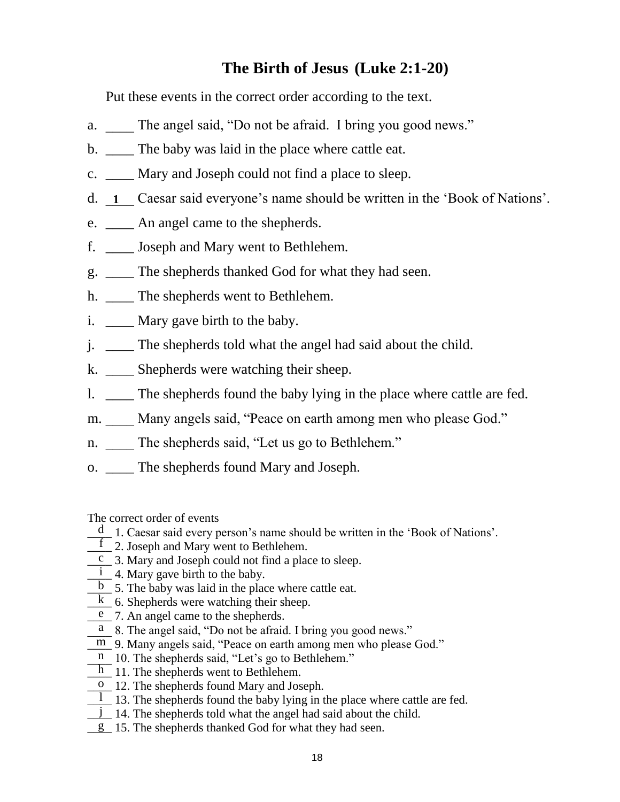## **The Birth of Jesus (Luke 2:1-20)**

Put these events in the correct order according to the text.

- a. The angel said, "Do not be afraid. I bring you good news."
- b. \_\_\_\_\_ The baby was laid in the place where cattle eat.
- c. \_\_\_\_ Mary and Joseph could not find a place to sleep.
- d.  $\overline{\mathbf{1}}$  Caesar said everyone's name should be written in the 'Book of Nations'.
- e. \_\_\_\_ An angel came to the shepherds.
- f. \_\_\_\_ Joseph and Mary went to Bethlehem.
- g. \_\_\_\_ The shepherds thanked God for what they had seen.
- h. The shepherds went to Bethlehem.
- i. \_\_\_\_\_ Mary gave birth to the baby.
- j. \_\_\_\_ The shepherds told what the angel had said about the child.
- k. \_\_\_\_ Shepherds were watching their sheep.
- l. \_\_\_\_ The shepherds found the baby lying in the place where cattle are fed.
- m. Many angels said, "Peace on earth among men who please God."
- n. The shepherds said, "Let us go to Bethlehem."
- o. \_\_\_\_ The shepherds found Mary and Joseph.

The correct order of events

- $\frac{d}{dx}$  1. Caesar said every person's name should be written in the 'Book of Nations'.
- <u>f</u> 2. Joseph and Mary went to Bethlehem.
- $\overline{c}$  3. Mary and Joseph could not find a place to sleep.
- $\frac{1}{\sqrt{1}}$  4. Mary gave birth to the baby.
- $\overline{b}$  5. The baby was laid in the place where cattle eat.
- $\overline{k}$  6. Shepherds were watching their sheep.
- $e$  7. An angel came to the shepherds.
- $\overline{a}$  8. The angel said, "Do not be afraid. I bring you good news."
- $\overline{m}$  9. Many angels said, "Peace on earth among men who please God."
- $\overline{p}$  10. The shepherds said, "Let's go to Bethlehem."
- $\boxed{\frac{h}{m}}$  11. The shepherds went to Bethlehem.
- <sup>o</sup> 12. The shepherds found Mary and Joseph.
- $\overline{1}$  13. The shepherds found the baby lying in the place where cattle are fed.
- $\frac{1}{\sqrt{1}}$  14. The shepherds told what the angel had said about the child.
- g 15. The shepherds thanked God for what they had seen.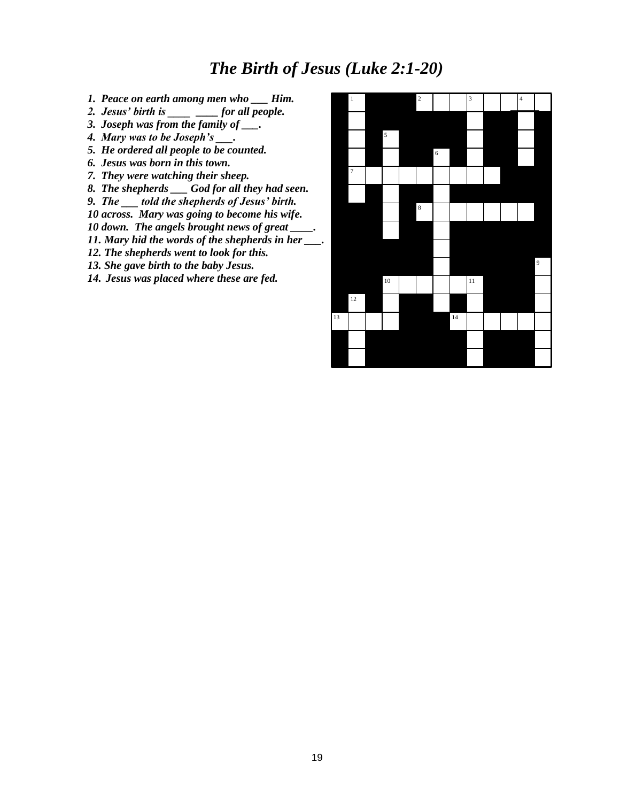## *The Birth of Jesus (Luke 2:1-20)*

- *1. Peace on earth among men who \_\_\_ Him.*
- *2. Jesus' birth is \_\_\_\_ \_\_\_\_ for all people.*
- *3. Joseph was from the family of \_\_\_.*
- *4. Mary was to be Joseph's \_\_\_.*
- *5. He ordered all people to be counted.*
- *6. Jesus was born in this town.*
- *7. They were watching their sheep.*
- *8. The shepherds \_\_\_ God for all they had seen.*
- *9. The \_\_\_ told the shepherds of Jesus' birth.*
- *10 across. Mary was going to become his wife.*
- 10 down. The angels brought news of great
- *11. Mary hid the words of the shepherds in her \_\_\_.*
- *12. The shepherds went to look for this.*
- *13. She gave birth to the baby Jesus.*
- *14. Jesus was placed where these are fed.*

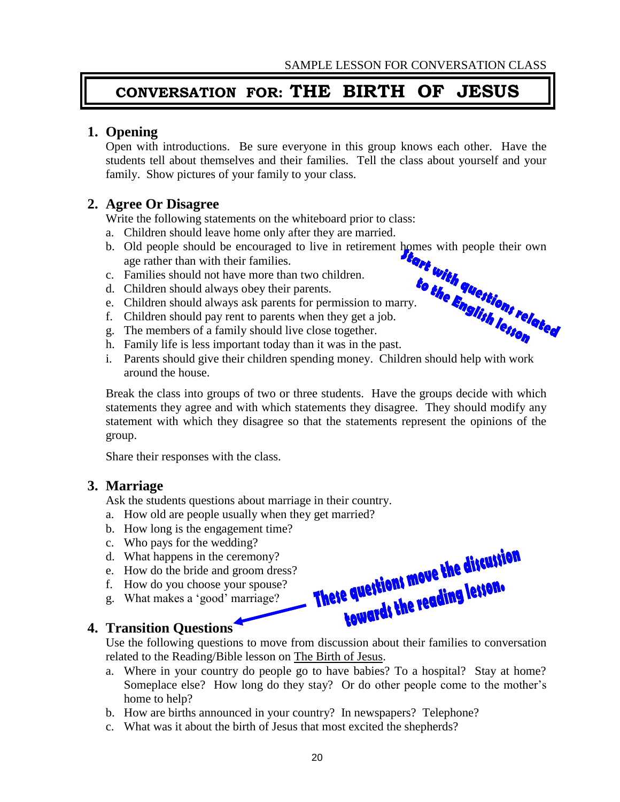## **CONVERSATION FOR: THE BIRTH OF JESUS**

## **1. Opening**

Open with introductions. Be sure everyone in this group knows each other. Have the students tell about themselves and their families. Tell the class about yourself and your family. Show pictures of your family to your class.

## **2. Agree Or Disagree**

Write the following statements on the whiteboard prior to class:

- a. Children should leave home only after they are married.
- b. Old people should be encouraged to live in retirement homes with people their own age rather than with their families.
- c. Families should not have more than two children.
- d. Children should always obey their parents.
- e. Children should always ask parents for permission to marry.
- f. Children should pay rent to parents when they get a job.
- g. The members of a family should live close together.
- h. Family life is less important today than it was in the past.
- i. Parents should give their children spending money. Children should help with work around the house.

Break the class into groups of two or three students. Have the groups decide with which statements they agree and with which statements they disagree. They should modify any statement with which they disagree so that the statements represent the opinions of the group.

Share their responses with the class.

#### **3. Marriage**

Ask the students questions about marriage in their country.

- a. How old are people usually when they get married?
- b. How long is the engagement time?
- c. Who pays for the wedding?
- d. What happens in the ceremony?
- e. How do the bride and groom dress?
- f. How do you choose your spouse?
- g. What makes a 'good' marriage?

## **4. Transition Questions**

Use the following questions to move from discussion about their families to conversation related to the Reading/Bible lesson on The Birth of Jesus.

- a. Where in your country do people go to have babies? To a hospital? Stay at home? Someplace else? How long do they stay? Or do other people come to the mother's home to help?
- b. How are births announced in your country? In newspapers? Telephone?
- c. What was it about the birth of Jesus that most excited the shepherds?